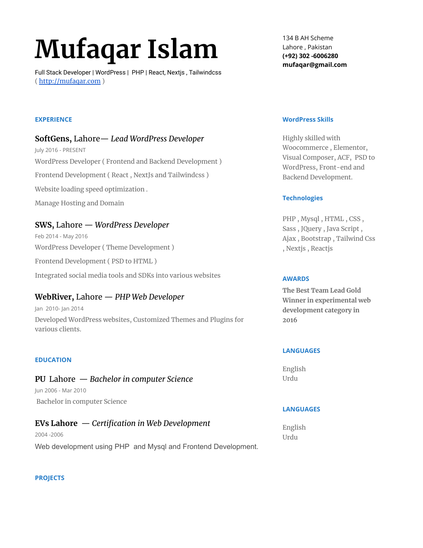# **Mufaqar Islam**

Full Stack Developer | WordPress | PHP | React, Nextjs , Tailwindcss ( [http://mufaqar.com](http://mufaqar.com/) )

134 B AH Scheme Lahore , Pakistan **(+92) 302 -6006280 mufaqar@gmail.com**

#### **EXPERIENCE**

### **SoftGens,** Lahore— *Lead WordPress Developer*

July 2016 - PRESENT WordPress Developer ( Frontend and Backend Development ) Frontend Development ( React , NextJs and Tailwindcss ) Website loading speed optimization . Manage Hosting and Domain

# **SWS,** Lahore — *WordPress Developer*

Feb 2014 - May 2016 WordPress Developer ( Theme Development ) Frontend Development ( PSD to HTML )

Integrated social media tools and SDKs into various websites

## **WebRiver,** Lahore — *PHP Web Developer*

Jan 2010- Jan 2014 Developed WordPress websites, Customized Themes and Plugins for various clients.

#### **EDUCATION**

#### **PU** Lahore — *Bachelor in computer Science*

Jun 2006 - Mar 2010 Bachelor in computer Science

#### **EVs Lahore** — *Certification in Web Development*

2004 -2006 Web development using PHP and Mysql and Frontend Development.

#### **WordPress Skills**

Highly skilled with Woocommerce , Elementor, Visual Composer, ACF, PSD to WordPress, Front-end and Backend Development.

#### **Technologies**

PHP , Mysql , HTML , CSS , Sass , JQuery , Java Script , Ajax , Bootstrap , Tailwind Css , Nextjs , Reactjs

#### **AWARDS**

**The Best Team Lead Gold Winner in experimental web development category in 2016**

#### **LANGUAGES**

English Urdu

#### **LANGUAGES**

English Urdu

#### **PROJECTS**